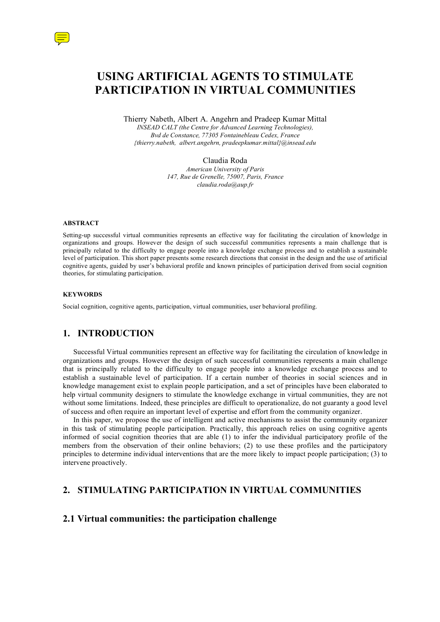

Thierry Nabeth, Albert A. Angehrn and Pradeep Kumar Mittal *INSEAD CALT (the Centre for Advanced Learning Technologies), Bvd de Constance, 77305 Fontainebleau Cedex, France {thierry.nabeth, albert.angehrn, pradeepkumar.mittal}@insead.edu*

> Claudia Roda *American University of Paris 147, Rue de Grenelle, 75007, Paris, France claudia.roda@aup.fr*

#### **ABSTRACT**

Setting-up successful virtual communities represents an effective way for facilitating the circulation of knowledge in organizations and groups. However the design of such successful communities represents a main challenge that is principally related to the difficulty to engage people into a knowledge exchange process and to establish a sustainable level of participation. This short paper presents some research directions that consist in the design and the use of artificial cognitive agents, guided by user's behavioral profile and known principles of participation derived from social cognition theories, for stimulating participation.

#### **KEYWORDS**

Social cognition, cognitive agents, participation, virtual communities, user behavioral profiling.

## **1. INTRODUCTION**

Successful Virtual communities represent an effective way for facilitating the circulation of knowledge in organizations and groups. However the design of such successful communities represents a main challenge that is principally related to the difficulty to engage people into a knowledge exchange process and to establish a sustainable level of participation. If a certain number of theories in social sciences and in knowledge management exist to explain people participation, and a set of principles have been elaborated to help virtual community designers to stimulate the knowledge exchange in virtual communities, they are not without some limitations. Indeed, these principles are difficult to operationalize, do not guaranty a good level of success and often require an important level of expertise and effort from the community organizer.

In this paper, we propose the use of intelligent and active mechanisms to assist the community organizer in this task of stimulating people participation. Practically, this approach relies on using cognitive agents informed of social cognition theories that are able (1) to infer the individual participatory profile of the members from the observation of their online behaviors; (2) to use these profiles and the participatory principles to determine individual interventions that are the more likely to impact people participation; (3) to intervene proactively.

## **2. STIMULATING PARTICIPATION IN VIRTUAL COMMUNITIES**

### **2.1 Virtual communities: the participation challenge**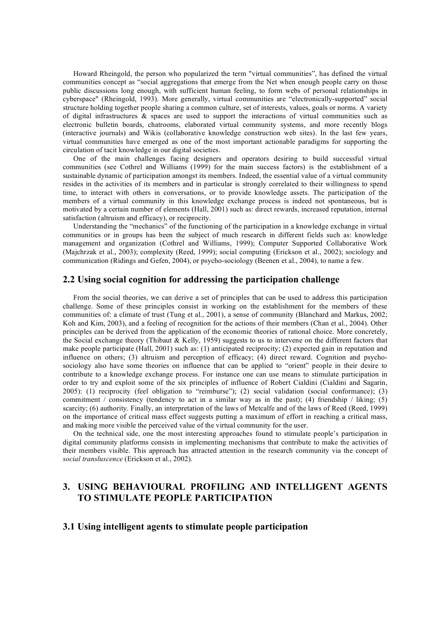Howard Rheingold, the person who popularized the term "virtual communities", has defined the virtual communities concept as "social aggregations that emerge from the Net when enough people carry on those public discussions long enough, with sufficient human feeling, to form webs of personal relationships in cyberspace" (Rheingold, 1993). More generally, virtual communities are "electronically-supported" social structure holding together people sharing a common culture, set of interests, values, goals or norms. A variety of digital infrastructures & spaces are used to support the interactions of virtual communities such as electronic bulletin boards, chatrooms, elaborated virtual community systems, and more recently blogs (interactive journals) and Wikis (collaborative knowledge construction web sites). In the last few years, virtual communities have emerged as one of the most important actionable paradigms for supporting the circulation of tacit knowledge in our digital societies.

One of the main challenges facing designers and operators desiring to build successful virtual communities (see Cothrel and Williams (1999) for the main success factors) is the establishment of a sustainable dynamic of participation amongst its members. Indeed, the essential value of a virtual community resides in the activities of its members and in particular is strongly correlated to their willingness to spend time, to interact with others in conversations, or to provide knowledge assets. The participation of the members of a virtual community in this knowledge exchange process is indeed not spontaneous, but is motivated by a certain number of elements (Hall, 2001) such as: direct rewards, increased reputation, internal satisfaction (altruism and efficacy), or reciprocity.

Understanding the "mechanics" of the functioning of the participation in a knowledge exchange in virtual communities or in groups has been the subject of much research in different fields such as: knowledge management and organization (Cothrel and Williams, 1999); Computer Supported Collaborative Work (Majchrzak et al., 2003); complexity (Reed, 1999); social computing (Erickson et al., 2002); sociology and communication (Ridings and Gefen, 2004), or psycho-sociology (Beenen et al., 2004), to name a few.

## **2.2 Using social cognition for addressing the participation challenge**

From the social theories, we can derive a set of principles that can be used to address this participation challenge. Some of these principles consist in working on the establishment for the members of these communities of: a climate of trust (Tung et al., 2001), a sense of community (Blanchard and Markus, 2002; Koh and Kim, 2003), and a feeling of recognition for the actions of their members (Chan et al., 2004). Other principles can be derived from the application of the economic theories of rational choice. More concretely, the Social exchange theory (Thibaut & Kelly, 1959) suggests to us to intervene on the different factors that make people participate (Hall, 2001) such as: (1) anticipated reciprocity; (2) expected gain in reputation and influence on others; (3) altruism and perception of efficacy; (4) direct reward. Cognition and psychosociology also have some theories on influence that can be applied to "orient" people in their desire to contribute to a knowledge exchange process. For instance one can use means to stimulate participation in order to try and exploit some of the six principles of influence of Robert Cialdini (Cialdini and Sagarin, 2005): (1) reciprocity (feel obligation to "reimburse"); (2) social validation (social conformance); (3) commitment / consistency (tendency to act in a similar way as in the past); (4) friendship / liking; (5) scarcity; (6) authority. Finally, an interpretation of the laws of Metcalfe and of the laws of Reed (Reed, 1999) on the importance of critical mass effect suggests putting a maximum of effort in reaching a critical mass, and making more visible the perceived value of the virtual community for the user.

On the technical side, one the most interesting approaches found to stimulate people's participation in digital community platforms consists in implementing mechanisms that contribute to make the activities of their members visible. This approach has attracted attention in the research community via the concept of *social transluscence* (Erickson et al., 2002).

# **3. USING BEHAVIOURAL PROFILING AND INTELLIGENT AGENTS TO STIMULATE PEOPLE PARTICIPATION**

### **3.1 Using intelligent agents to stimulate people participation**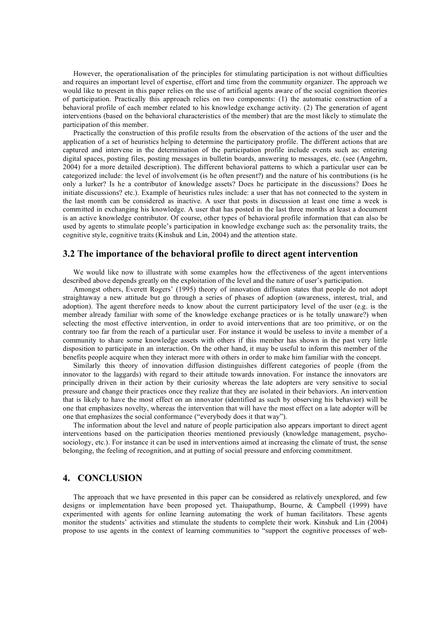However, the operationalisation of the principles for stimulating participation is not without difficulties and requires an important level of expertise, effort and time from the community organizer. The approach we would like to present in this paper relies on the use of artificial agents aware of the social cognition theories of participation. Practically this approach relies on two components: (1) the automatic construction of a behavioral profile of each member related to his knowledge exchange activity. (2) The generation of agent interventions (based on the behavioral characteristics of the member) that are the most likely to stimulate the participation of this member.

Practically the construction of this profile results from the observation of the actions of the user and the application of a set of heuristics helping to determine the participatory profile. The different actions that are captured and intervene in the determination of the participation profile include events such as: entering digital spaces, posting files, posting messages in bulletin boards, answering to messages, etc. (see (Angehrn, 2004) for a more detailed description). The different behavioral patterns to which a particular user can be categorized include: the level of involvement (is he often present?) and the nature of his contributions (is he only a lurker? Is he a contributor of knowledge assets? Does he participate in the discussions? Does he initiate discussions? etc.). Example of heuristics rules include: a user that has not connected to the system in the last month can be considered as inactive. A user that posts in discussion at least one time a week is committed in exchanging his knowledge. A user that has posted in the last three months at least a document is an active knowledge contributor. Of course, other types of behavioral profile information that can also be used by agents to stimulate people's participation in knowledge exchange such as: the personality traits, the cognitive style, cognitive traits (Kinshuk and Lin, 2004) and the attention state.

### **3.2 The importance of the behavioral profile to direct agent intervention**

We would like now to illustrate with some examples how the effectiveness of the agent interventions described above depends greatly on the exploitation of the level and the nature of user's participation.

Amongst others, Everett Rogers' (1995) theory of innovation diffusion states that people do not adopt straightaway a new attitude but go through a series of phases of adoption (awareness, interest, trial, and adoption). The agent therefore needs to know about the current participatory level of the user (e.g. is the member already familiar with some of the knowledge exchange practices or is he totally unaware?) when selecting the most effective intervention, in order to avoid interventions that are too primitive, or on the contrary too far from the reach of a particular user. For instance it would be useless to invite a member of a community to share some knowledge assets with others if this member has shown in the past very little disposition to participate in an interaction. On the other hand, it may be useful to inform this member of the benefits people acquire when they interact more with others in order to make him familiar with the concept.

Similarly this theory of innovation diffusion distinguishes different categories of people (from the innovator to the laggards) with regard to their attitude towards innovation. For instance the innovators are principally driven in their action by their curiosity whereas the late adopters are very sensitive to social pressure and change their practices once they realize that they are isolated in their behaviors. An intervention that is likely to have the most effect on an innovator (identified as such by observing his behavior) will be one that emphasizes novelty, whereas the intervention that will have the most effect on a late adopter will be one that emphasizes the social conformance ("everybody does it that way").

The information about the level and nature of people participation also appears important to direct agent interventions based on the participation theories mentioned previously (knowledge management, psychosociology, etc.). For instance it can be used in interventions aimed at increasing the climate of trust, the sense belonging, the feeling of recognition, and at putting of social pressure and enforcing commitment.

## **4. CONCLUSION**

The approach that we have presented in this paper can be considered as relatively unexplored, and few designs or implementation have been proposed yet. Thaiupathump, Bourne, & Campbell (1999) have experimented with agents for online learning automating the work of human facilitators. These agents monitor the students' activities and stimulate the students to complete their work. Kinshuk and Lin (2004) propose to use agents in the context of learning communities to "support the cognitive processes of web